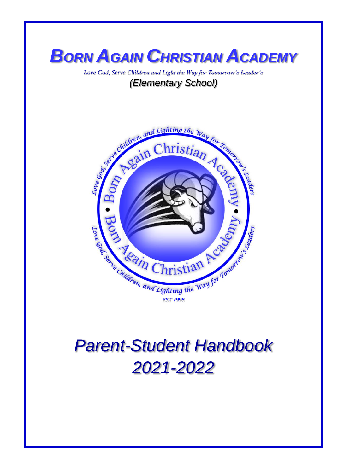

*Love God, Serve Children and Light the Way for Tomorrow's Leader's (Elementary School)*



# *Parent-Student Handbook 2021-2022*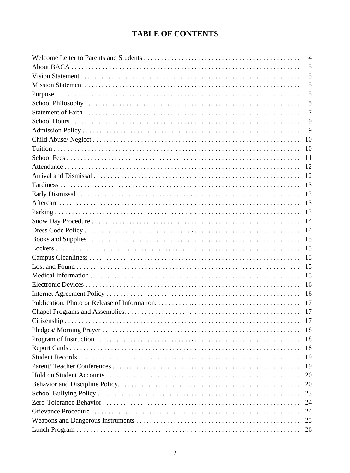## **TABLE OF CONTENTS**

| $\overline{4}$ |
|----------------|
| 5              |
| 5              |
| 5              |
| 5              |
| 5              |
| $\overline{7}$ |
| 9              |
| 9              |
| 10             |
| 10             |
| 11             |
| 12             |
| <sup>12</sup>  |
| 13             |
| 13             |
|                |
| 13             |
| 14             |
| -14            |
| 15             |
| 15             |
|                |
| 15             |
| 15             |
| 16             |
|                |
|                |
| 17             |
| 17             |
| 18             |
| 18             |
| 18             |
| 19             |
| 19             |
| 20             |
| 20             |
| 23             |
| 24             |
| 24             |
| 25             |
| 26             |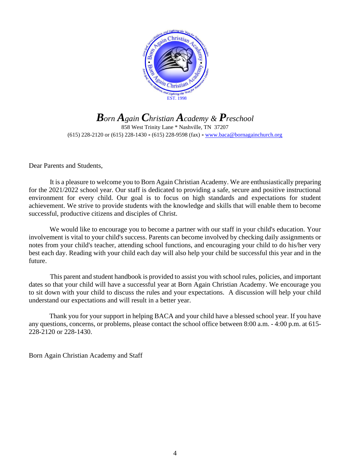

*Born Again Christian Academy & Preschool* 858 West Trinity Lane \* Nashville, TN 37207 (615) 228-2120 or (615) 228-1430 \* (615) 228-9598 (fax) \* [www.baca@bornagainchurch.org](http://www.baca@bornagainchurch.org)

Dear Parents and Students,

It is a pleasure to welcome you to Born Again Christian Academy. We are enthusiastically preparing for the 2021/2022 school year. Our staff is dedicated to providing a safe, secure and positive instructional environment for every child. Our goal is to focus on high standards and expectations for student achievement. We strive to provide students with the knowledge and skills that will enable them to become successful, productive citizens and disciples of Christ.

We would like to encourage you to become a partner with our staff in your child's education. Your involvement is vital to your child's success. Parents can become involved by checking daily assignments or notes from your child's teacher, attending school functions, and encouraging your child to do his/her very best each day. Reading with your child each day will also help your child be successful this year and in the future.

This parent and student handbook is provided to assist you with school rules, policies, and important dates so that your child will have a successful year at Born Again Christian Academy. We encourage you to sit down with your child to discuss the rules and your expectations. A discussion will help your child understand our expectations and will result in a better year.

Thank you for your support in helping BACA and your child have a blessed school year. If you have any questions, concerns, or problems, please contact the school office between 8:00 a.m. - 4:00 p.m. at 615- 228-2120 or 228-1430.

Born Again Christian Academy and Staff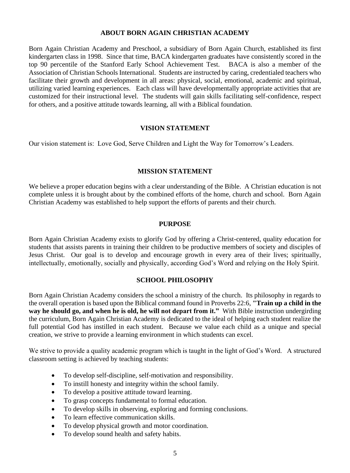#### **ABOUT BORN AGAIN CHRISTIAN ACADEMY**

Born Again Christian Academy and Preschool, a subsidiary of Born Again Church, established its first kindergarten class in 1998. Since that time, BACA kindergarten graduates have consistently scored in the top 90 percentile of the Stanford Early School Achievement Test. BACA is also a member of the Association of Christian Schools International. Students are instructed by caring, credentialed teachers who facilitate their growth and development in all areas: physical, social, emotional, academic and spiritual, utilizing varied learning experiences. Each class will have developmentally appropriate activities that are customized for their instructional level. The students will gain skills facilitating self-confidence, respect for others, and a positive attitude towards learning, all with a Biblical foundation.

#### **VISION STATEMENT**

Our vision statement is: Love God, Serve Children and Light the Way for Tomorrow's Leaders.

#### **MISSION STATEMENT**

We believe a proper education begins with a clear understanding of the Bible. A Christian education is not complete unless it is brought about by the combined efforts of the home, church and school. Born Again Christian Academy was established to help support the efforts of parents and their church.

#### **PURPOSE**

Born Again Christian Academy exists to glorify God by offering a Christ-centered, quality education for students that assists parents in training their children to be productive members of society and disciples of Jesus Christ. Our goal is to develop and encourage growth in every area of their lives; spiritually, intellectually, emotionally, socially and physically, according God's Word and relying on the Holy Spirit.

#### **SCHOOL PHILOSOPHY**

Born Again Christian Academy considers the school a ministry of the church. Its philosophy in regards to the overall operation is based upon the Biblical command found in Proverbs 22:6, **"Train up a child in the way he should go, and when he is old, he will not depart from it."** With Bible instruction undergirding the curriculum, Born Again Christian Academy is dedicated to the ideal of helping each student realize the full potential God has instilled in each student. Because we value each child as a unique and special creation, we strive to provide a learning environment in which students can excel.

We strive to provide a quality academic program which is taught in the light of God's Word. A structured classroom setting is achieved by teaching students:

- To develop self-discipline, self-motivation and responsibility.
- To instill honesty and integrity within the school family.
- To develop a positive attitude toward learning.
- To grasp concepts fundamental to formal education.
- To develop skills in observing, exploring and forming conclusions.
- To learn effective communication skills.
- To develop physical growth and motor coordination.
- To develop sound health and safety habits.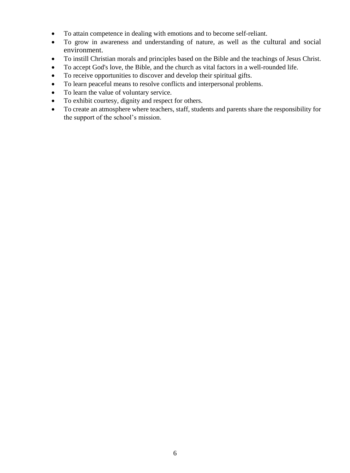- To attain competence in dealing with emotions and to become self-reliant.
- To grow in awareness and understanding of nature, as well as the cultural and social environment.
- To instill Christian morals and principles based on the Bible and the teachings of Jesus Christ.
- To accept God's love, the Bible, and the church as vital factors in a well-rounded life.
- To receive opportunities to discover and develop their spiritual gifts.
- To learn peaceful means to resolve conflicts and interpersonal problems.
- To learn the value of voluntary service.
- To exhibit courtesy, dignity and respect for others.
- To create an atmosphere where teachers, staff, students and parents share the responsibility for the support of the school's mission.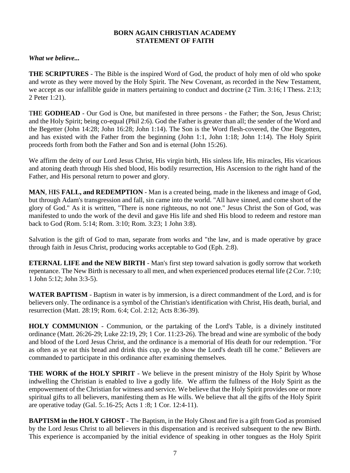#### **BORN AGAIN CHRISTIAN ACADEMY STATEMENT OF FAITH**

#### *What we believe...*

**THE SCRIPTURES** - The Bible is the inspired Word of God, the product of holy men of old who spoke and wrote as they were moved by the Holy Spirit. The New Covenant, as recorded in the New Testament, we accept as our infallible guide in matters pertaining to conduct and doctrine  $(2 \text{ Tim. } 3:16; 1 \text{ Thess. } 2:13;$ 2 Peter 1:21).

T**H**E **GODHEAD** - Our God is One, but manifested in three persons - the Father; the Son, Jesus Christ; and the Holy Spirit; being co-equal (Phil 2:6). God the Father is greater than all; the sender of the Word and the Begetter (John 14:28; John 16:28; John 1:14). The Son is the Word flesh-covered, the One Begotten, and has existed with the Father from the beginning (John 1:1, John 1:18; John 1:14). The Holy Spirit proceeds forth from both the Father and Son and is eternal (John 15:26).

We affirm the deity of our Lord Jesus Christ, His virgin birth, His sinless life, His miracles, His vicarious and atoning death through His shed blood, His bodily resurrection, His Ascension to the right hand of the Father, and His personal return to power and glory.

**MAN**, H**I**S **FALL, and REDEMPTION** - Man is a created being, made in the likeness and image of God, but through Adam's transgression and fall, sin came into the world. "All have sinned, and come short of the glory of God." As it is written, "There is none righteous, no not one." Jesus Christ the Son of God, was manifested to undo the work of the devil and gave His life and shed His blood to redeem and restore man back to God (Rom. 5:14; Rom. 3:10; Rom. 3:23; 1 John 3:8).

Salvation is the gift of God to man, separate from works and "the law, and is made operative by grace through faith in Jesus Christ, producing works acceptable to God (Eph. 2:8).

**ETERNAL LIFE and the NEW BIRTH** - Man's first step toward salvation is godly sorrow that worketh repentance. The New Birth is necessary to all men, and when experienced produces eternal life (2 Cor. 7:10; 1 John 5:12; John 3:3-5).

**WATER BAPTISM** - Baptism in water is by immersion, is a direct commandment of the Lord, and is for believers only. The ordinance is a symbol of the Christian's identification with Christ, His death, burial, and resurrection (Matt. 28:19; Rom. 6:4; Col. 2:12; Acts 8:36-39).

**HOLY COMMUNION** - Communion, or the partaking of the Lord's Table, is a divinely instituted ordinance (Matt. 26:26-29; Luke 22:19, 29; 1 Cor. 11:23-26). The bread and wine are symbolic of the body and blood of the Lord Jesus Christ, and the ordinance is a memorial of His death for our redemption. "For as often as ye eat this bread and drink this cup, ye do show the Lord's death till he come." Believers are commanded to participate in this ordinance after examining themselves.

**THE WORK of the HOLY SPIRIT** - We believe in the present ministry of the Holy Spirit by Whose indwelling the Christian is enabled to live a godly life. We affirm the fullness of the Holy Spirit as the empowerment of the Christian for witness and service. We believe that the Holy Spirit provides one or more spiritual gifts to all believers, manifesting them as He wills. We believe that all the gifts of the Holy Spirit are operative today (Gal. 5:.16-25; Acts 1 :8; 1 Cor. 12:4-11).

**BAPTISM in the HOLY GHOST** - The Baptism, in the Holy Ghost and fire is a gift from God as promised by the Lord Jesus Christ to all believers in this dispensation and is received subsequent to the new Birth. This experience is accompanied by the initial evidence of speaking in other tongues as the Holy Spirit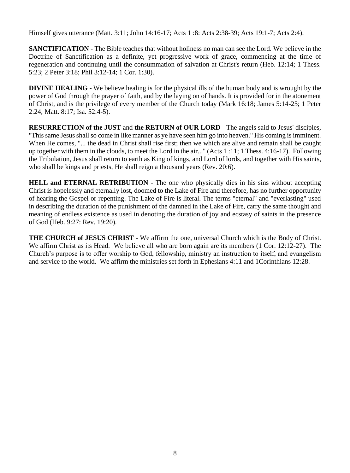Himself gives utterance (Matt. 3:11; John 14:16-17; Acts 1 :8: Acts 2:38-39; Acts 19:1-7; Acts 2:4).

**SANCTIFICATION** - The Bible teaches that without holiness no man can see the Lord. We believe in the Doctrine of Sanctification as a definite, yet progressive work of grace, commencing at the time of regeneration and continuing until the consummation of salvation at Christ's return (Heb. 12:14; 1 Thess. 5:23; 2 Peter 3:18; Phil 3:12-14; 1 Cor. 1:30).

**DIVINE HEALING** - We believe healing is for the physical ills of the human body and is wrought by the power of God through the prayer of faith, and by the laying on of hands. It is provided for in the atonement of Christ, and is the privilege of every member of the Church today (Mark 16:18; James 5:14-25; 1 Peter 2:24; Matt. 8:17; Isa. 52:4-5).

**RESURRECTION of the JUST** and **the RETURN of OUR LORD** - The angels said to Jesus' disciples, "This same Jesus shall so come in like manner as ye have seen him go into heaven." His coming is imminent. When He comes, "... the dead in Christ shall rise first; then we which are alive and remain shall be caught up together with them in the clouds, to meet the Lord in the air..." (Acts 1 :11; 1 Thess. 4:16-17). Following the Tribulation, Jesus shall return to earth as King of kings, and Lord of lords, and together with His saints, who shall be kings and priests, He shall reign a thousand years (Rev. 20:6).

**HELL and ETERNAL RETRIBUTION** - The one who physically dies in his sins without accepting Christ is hopelessly and eternally lost, doomed to the Lake of Fire and therefore, has no further opportunity of hearing the Gospel or repenting. The Lake of Fire is literal. The terms "eternal" and "everlasting" used in describing the duration of the punishment of the damned in the Lake of Fire, carry the same thought and meaning of endless existence as used in denoting the duration of joy and ecstasy of saints in the presence of God (Heb. 9:27: Rev. 19:20).

**THE CHURCH of JESUS CHRIST** - We affirm the one, universal Church which is the Body of Christ. We affirm Christ as its Head. We believe all who are born again are its members (1 Cor. 12:12-27). The Church's purpose is to offer worship to God, fellowship, ministry an instruction to itself, and evangelism and service to the world. We affirm the ministries set forth in Ephesians 4:11 and 1Corinthians 12:28.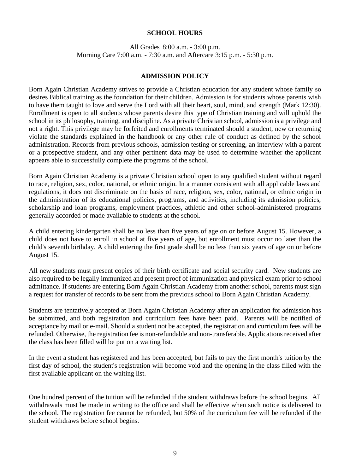#### **SCHOOL HOURS**

All Grades 8:00 a.m. - 3:00 p.m. Morning Care 7:00 a.m. - 7:30 a.m. and Aftercare 3:15 p.m. - 5:30 p.m.

#### **ADMISSION POLICY**

Born Again Christian Academy strives to provide a Christian education for any student whose family so desires Biblical training as the foundation for their children. Admission is for students whose parents wish to have them taught to love and serve the Lord with all their heart, soul, mind, and strength (Mark 12:30). Enrollment is open to all students whose parents desire this type of Christian training and will uphold the school in its philosophy, training, and discipline. As a private Christian school, admission is a privilege and not a right. This privilege may be forfeited and enrollments terminated should a student, new or returning violate the standards explained in the handbook or any other rule of conduct as defined by the school administration. Records from previous schools, admission testing or screening, an interview with a parent or a prospective student, and any other pertinent data may be used to determine whether the applicant appears able to successfully complete the programs of the school.

Born Again Christian Academy is a private Christian school open to any qualified student without regard to race, religion, sex, color, national, or ethnic origin. In a manner consistent with all applicable laws and regulations, it does not discriminate on the basis of race, religion, sex, color, national, or ethnic origin in the administration of its educational policies, programs, and activities, including its admission policies, scholarship and loan programs, employment practices, athletic and other school-administered programs generally accorded or made available to students at the school.

A child entering kindergarten shall be no less than five years of age on or before August 15. However, a child does not have to enroll in school at five years of age, but enrollment must occur no later than the child's seventh birthday. A child entering the first grade shall be no less than six years of age on or before August 15.

All new students must present copies of their birth certificate and social security card. New students are also required to be legally immunized and present proof of immunization and physical exam prior to school admittance. If students are entering Born Again Christian Academy from another school, parents must sign a request for transfer of records to be sent from the previous school to Born Again Christian Academy.

Students are tentatively accepted at Born Again Christian Academy after an application for admission has be submitted, and both registration and curriculum fees have been paid. Parents will be notified of acceptance by mail or e-mail. Should a student not be accepted, the registration and curriculum fees will be refunded. Otherwise, the registration fee is non-refundable and non-transferable. Applications received after the class has been filled will be put on a waiting list.

In the event a student has registered and has been accepted, but fails to pay the first month's tuition by the first day of school, the student's registration will become void and the opening in the class filled with the first available applicant on the waiting list.

One hundred percent of the tuition will be refunded if the student withdraws before the school begins. All withdrawals must be made in writing to the office and shall be effective when such notice is delivered to the school. The registration fee cannot be refunded, but 50% of the curriculum fee will be refunded if the student withdraws before school begins.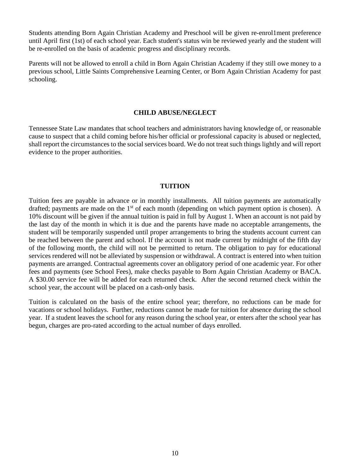Students attending Born Again Christian Academy and Preschool will be given re-enrol1ment preference until April first (1st) of each school year. Each student's status win be reviewed yearly and the student will be re-enrolled on the basis of academic progress and disciplinary records.

Parents will not be allowed to enroll a child in Born Again Christian Academy if they still owe money to a previous school, Little Saints Comprehensive Learning Center, or Born Again Christian Academy for past schooling.

#### **CHILD ABUSE/NEGLECT**

Tennessee State Law mandates that school teachers and administrators having knowledge of, or reasonable cause to suspect that a child coming before his/her official or professional capacity is abused or neglected, shall report the circumstances to the social services board. We do not treat such things lightly and will report evidence to the proper authorities.

#### **TUITION**

Tuition fees are payable in advance or in monthly installments. All tuition payments are automatically drafted; payments are made on the  $1<sup>st</sup>$  of each month (depending on which payment option is chosen). A 10% discount will be given if the annual tuition is paid in full by August 1. When an account is not paid by the last day of the month in which it is due and the parents have made no acceptable arrangements, the student will be temporarily suspended until proper arrangements to bring the students account current can be reached between the parent and school. If the account is not made current by midnight of the fifth day of the following month, the child will not be permitted to return. The obligation to pay for educational services rendered will not be alleviated by suspension or withdrawal. A contract is entered into when tuition payments are arranged. Contractual agreements cover an obligatory period of one academic year. For other fees and payments (see School Fees), make checks payable to Born Again Christian Academy or BACA. A \$30.00 service fee will be added for each returned check. After the second returned check within the school year, the account will be placed on a cash-only basis.

Tuition is calculated on the basis of the entire school year; therefore, no reductions can be made for vacations or school holidays. Further, reductions cannot be made for tuition for absence during the school year. If a student leaves the school for any reason during the school year, or enters after the school year has begun, charges are pro-rated according to the actual number of days enrolled.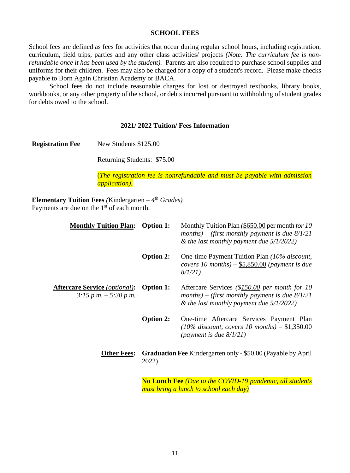#### **SCHOOL FEES**

School fees are defined as fees for activities that occur during regular school hours, including registration, curriculum, field trips, parties and any other class activities/ projects *(Note: The curriculum fee is nonrefundable once it has been used by the student).* Parents are also required to purchase school supplies and uniforms for their children. Fees may also be charged for a copy of a student's record. Please make checks payable to Born Again Christian Academy or BACA.

School fees do not include reasonable charges for lost or destroyed textbooks, library books, workbooks, or any other property of the school, or debts incurred pursuant to withholding of student grades for debts owed to the school.

#### **2021/ 2022 Tuition/ Fees Information**

**Registration Fee** New Students \$125.00

Returning Students: \$75.00

(*The registration fee is nonrefundable and must be payable with admission application).*

**Elementary Tuition Fees** *(*Kindergarten *– 4 th Grades)* Payments are due on the 1<sup>st</sup> of each month.

| <b>Monthly Tuition Plan:</b>                                     | <b>Option 1:</b>                                                              | Monthly Tuition Plan (\$650.00 per month for 10<br>months) – (first monthly payment is due $8/1/21$<br>& the last monthly payment due $5/1/2022$ ) |  |  |  |
|------------------------------------------------------------------|-------------------------------------------------------------------------------|----------------------------------------------------------------------------------------------------------------------------------------------------|--|--|--|
|                                                                  | <b>Option 2:</b>                                                              | One-time Payment Tuition Plan (10% discount,<br>covers 10 months) $-$ \$5,850.00 (payment is due<br>8/1/21                                         |  |  |  |
| <b>Aftercare Service</b> (optional):<br>$3:15$ p.m. $-5:30$ p.m. | <b>Option 1:</b>                                                              | Aftercare Services (\$150.00 per month for 10<br>months) – (first monthly payment is due $8/1/21$<br>& the last monthly payment due $5/1/2022$ )   |  |  |  |
|                                                                  | <b>Option 2:</b>                                                              | One-time Aftercare Services Payment Plan<br>(10% discount, covers 10 months) $- $1,350.00$<br>(payment is due $8/1/21$ )                           |  |  |  |
| <b>Other Fees:</b>                                               | <b>Graduation Fee Kindergarten only - \$50.00 (Payable by April)</b><br>2022) |                                                                                                                                                    |  |  |  |
|                                                                  |                                                                               | No Lunch Fee (Due to the COVID-19 pandemic, all students                                                                                           |  |  |  |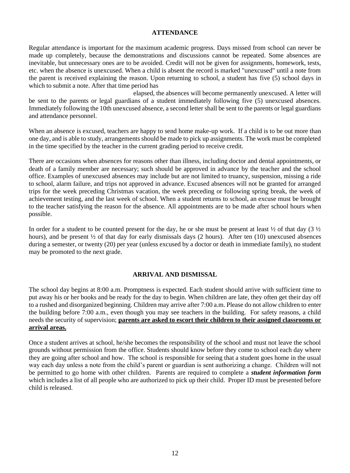#### **ATTENDANCE**

Regular attendance is important for the maximum academic progress. Days missed from school can never be made up completely, because the demonstrations and discussions cannot be repeated. Some absences are inevitable, but unnecessary ones are to be avoided. Credit will not be given for assignments, homework, tests, etc. when the absence is unexcused. When a child is absent the record is marked "unexcused" until a note from the parent is received explaining the reason. Upon returning to school, a student has five (5) school days in which to submit a note. After that time period has

elapsed, the absences will become permanently unexcused. A letter will be sent to the parents or legal guardians of a student immediately following five (5) unexcused absences. Immediately following the 10th unexcused absence, a second letter shall be sent to the parents or legal guardians and attendance personnel.

When an absence is excused, teachers are happy to send home make-up work. If a child is to be out more than one day, and is able to study, arrangements should be made to pick up assignments. The work must be completed in the time specified by the teacher in the current grading period to receive credit.

There are occasions when absences for reasons other than illness, including doctor and dental appointments, or death of a family member are necessary; such should be approved in advance by the teacher and the school office. Examples of unexcused absences may include but are not limited to truancy, suspension, missing a ride to school, alarm failure, and trips not approved in advance. Excused absences will not be granted for arranged trips for the week preceding Christmas vacation, the week preceding or following spring break, the week of achievement testing, and the last week of school. When a student returns to school, an excuse must be brought to the teacher satisfying the reason for the absence. All appointments are to be made after school hours when possible.

In order for a student to be counted present for the day, he or she must be present at least  $\frac{1}{2}$  of that day (3  $\frac{1}{2}$ ) hours), and be present  $\frac{1}{2}$  of that day for early dismissals days (2 hours). After ten (10) unexcused absences during a semester, or twenty (20) per year (unless excused by a doctor or death in immediate family), no student may be promoted to the next grade.

#### **ARRIVAL AND DISMISSAL**

The school day begins at 8:00 a.m. Promptness is expected. Each student should arrive with sufficient time to put away his or her books and be ready for the day to begin. When children are late, they often get their day off to a rushed and disorganized beginning. Children may arrive after 7:00 a.m. Please do not allow children to enter the building before 7:00 a.m., even though you may see teachers in the building. For safety reasons, a child needs the security of supervision; **parents are asked to escort their children to their assigned classrooms or arrival areas.**

Once a student arrives at school, he/she becomes the responsibility of the school and must not leave the school grounds without permission from the office. Students should know before they come to school each day where they are going after school and how. The school is responsible for seeing that a student goes home in the usual way each day unless a note from the child's parent or guardian is sent authorizing a change. Children will not be permitted to go home with other children. Parents are required to complete a *student information form* which includes a list of all people who are authorized to pick up their child. Proper ID must be presented before child is released.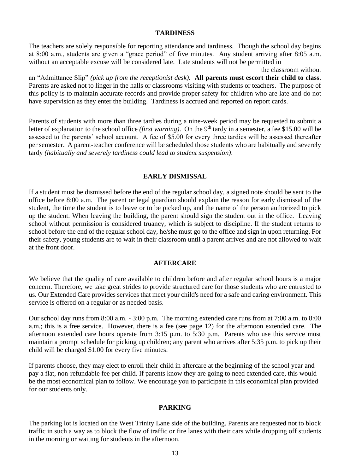#### **TARDINESS**

The teachers are solely responsible for reporting attendance and tardiness. Though the school day begins at 8:00 a.m., students are given a "grace period" of five minutes. Any student arriving after 8:05 a.m. without an acceptable excuse will be considered late. Late students will not be permitted in

the classroom without an "Admittance Slip" *(pick up from the receptionist desk).* **All parents must escort their child to class**. Parents are asked not to linger in the halls or classrooms visiting with students or teachers. The purpose of this policy is to maintain accurate records and provide proper safety for children who are late and do not have supervision as they enter the building. Tardiness is accrued and reported on report cards.

Parents of students with more than three tardies during a nine-week period may be requested to submit a letter of explanation to the school office *(first warning)*. On the 9<sup>th</sup> tardy in a semester, a fee \$15.00 will be assessed to the parents' school account. A fee of \$5.00 for every three tardies will be assessed thereafter per semester. A parent-teacher conference will be scheduled those students who are habitually and severely tardy *(habitually and severely tardiness could lead to student suspension)*.

#### **EARLY DISMISSAL**

If a student must be dismissed before the end of the regular school day, a signed note should be sent to the office before 8:00 a.m. The parent or legal guardian should explain the reason for early dismissal of the student, the time the student is to leave or to be picked up, and the name of the person authorized to pick up the student. When leaving the building, the parent should sign the student out in the office. Leaving school without permission is considered truancy, which is subject to discipline. If the student returns to school before the end of the regular school day, he/she must go to the office and sign in upon returning. For their safety, young students are to wait in their classroom until a parent arrives and are not allowed to wait at the front door.

#### **AFTERCARE**

We believe that the quality of care available to children before and after regular school hours is a major concern. Therefore, we take great strides to provide structured care for those students who are entrusted to us. Our Extended Care provides services that meet your child's need for a safe and caring environment. This service is offered on a regular or as needed basis.

Our school day runs from 8:00 a.m. - 3:00 p.m. The morning extended care runs from at 7:00 a.m. to 8:00 a.m.; this is a free service. However, there is a fee (see page 12) for the afternoon extended care. The afternoon extended care hours operate from 3:15 p.m. to 5:30 p.m. Parents who use this service must maintain a prompt schedule for picking up children; any parent who arrives after 5:35 p.m. to pick up their child will be charged \$1.00 for every five minutes.

If parents choose, they may elect to enroll their child in aftercare at the beginning of the school year and pay a flat, non-refundable fee per child. If parents know they are going to need extended care, this would be the most economical plan to follow. We encourage you to participate in this economical plan provided for our students only.

#### **PARKING**

The parking lot is located on the West Trinity Lane side of the building. Parents are requested not to block traffic in such a way as to block the flow of traffic or fire lanes with their cars while dropping off students in the morning or waiting for students in the afternoon.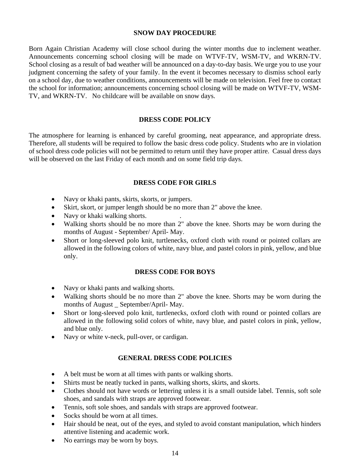#### **SNOW DAY PROCEDURE**

Born Again Christian Academy will close school during the winter months due to inclement weather. Announcements concerning school closing will be made on WTVF-TV, WSM-TV, and WKRN-TV. School closing as a result of bad weather will be announced on a day-to-day basis. We urge you to use your judgment concerning the safety of your family. In the event it becomes necessary to dismiss school early on a school day, due to weather conditions, announcements will be made on television. Feel free to contact the school for information; announcements concerning school closing will be made on WTVF-TV, WSM-TV, and WKRN-TV. No childcare will be available on snow days.

#### **DRESS CODE POLICY**

The atmosphere for learning is enhanced by careful grooming, neat appearance, and appropriate dress. Therefore, all students will be required to follow the basic dress code policy. Students who are in violation of school dress code policies will not be permitted to return until they have proper attire. Casual dress days will be observed on the last Friday of each month and on some field trip days.

#### **DRESS CODE FOR GIRLS**

- Navy or khaki pants, skirts, skorts, or jumpers.
- Skirt, skort, or jumper length should be no more than 2" above the knee.
- Navy or khaki walking shorts.
- Walking shorts should be no more than 2" above the knee. Shorts may be worn during the months of August - September/ April- May.
- Short or long-sleeved polo knit, turtlenecks, oxford cloth with round or pointed collars are allowed in the following colors of white, navy blue, and pastel colors in pink, yellow, and blue only.

#### **DRESS CODE FOR BOYS**

- Navy or khaki pants and walking shorts.
- Walking shorts should be no more than 2" above the knee. Shorts may be worn during the months of August September/April- May.
- Short or long-sleeved polo knit, turtlenecks, oxford cloth with round or pointed collars are allowed in the following solid colors of white, navy blue, and pastel colors in pink, yellow, and blue only.
- Navy or white v-neck, pull-over, or cardigan.

#### **GENERAL DRESS CODE POLICIES**

- A belt must be worn at all times with pants or walking shorts.
- Shirts must be neatly tucked in pants, walking shorts, skirts, and skorts.
- Clothes should not have words or lettering unless it is a small outside label. Tennis, soft sole shoes, and sandals with straps are approved footwear.
- Tennis, soft sole shoes, and sandals with straps are approved footwear.
- Socks should be worn at all times.
- Hair should be neat, out of the eyes, and styled to avoid constant manipulation, which hinders attentive listening and academic work.
- No earrings may be worn by boys.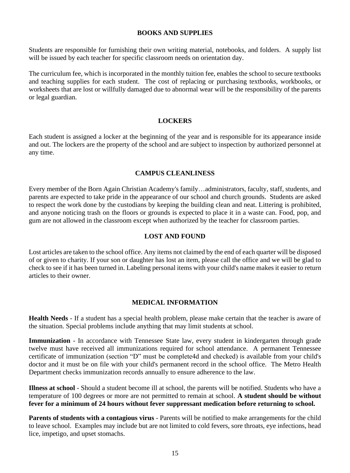#### **BOOKS AND SUPPLIES**

Students are responsible for furnishing their own writing material, notebooks, and folders. A supply list will be issued by each teacher for specific classroom needs on orientation day.

The curriculum fee, which is incorporated in the monthly tuition fee, enables the school to secure textbooks and teaching supplies for each student. The cost of replacing or purchasing textbooks, workbooks, or worksheets that are lost or willfully damaged due to abnormal wear will be the responsibility of the parents or legal guardian.

#### **LOCKERS**

Each student is assigned a locker at the beginning of the year and is responsible for its appearance inside and out. The lockers are the property of the school and are subject to inspection by authorized personnel at any time.

#### **CAMPUS CLEANLINESS**

Every member of the Born Again Christian Academy's family…administrators, faculty, staff, students, and parents are expected to take pride in the appearance of our school and church grounds. Students are asked to respect the work done by the custodians by keeping the building clean and neat. Littering is prohibited, and anyone noticing trash on the floors or grounds is expected to place it in a waste can. Food, pop, and gum are not allowed in the classroom except when authorized by the teacher for classroom parties.

#### **LOST AND FOUND**

Lost articles are taken to the school office. Any items not claimed by the end of each quarter will be disposed of or given to charity. If your son or daughter has lost an item, please call the office and we will be glad to check to see if it has been turned in. Labeling personal items with your child's name makes it easier to return articles to their owner.

#### **MEDICAL INFORMATION**

**Health Needs** - If a student has a special health problem, please make certain that the teacher is aware of the situation. Special problems include anything that may limit students at school.

**Immunization** - In accordance with Tennessee State law, every student in kindergarten through grade twelve must have received all immunizations required for school attendance. A permanent Tennessee certificate of immunization (section "D" must be complete4d and checked) is available from your child's doctor and it must be on file with your child's permanent record in the school office. The Metro Health Department checks immunization records annually to ensure adherence to the law.

**Illness at school** - Should a student become ill at school, the parents will be notified. Students who have a temperature of 100 degrees or more are not permitted to remain at school. **A student should be without fever for a minimum of 24 hours without fever suppressant medication before returning to school.** 

Parents of students with a contagious virus - Parents will be notified to make arrangements for the child to leave school. Examples may include but are not limited to cold fevers, sore throats, eye infections, head lice, impetigo, and upset stomachs.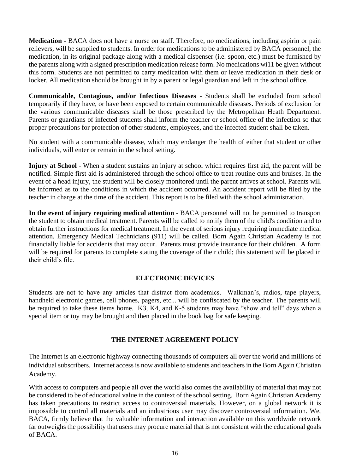**Medication** - BACA does not have a nurse on staff. Therefore, no medications, including aspirin or pain relievers, will be supplied to students. In order for medications to be administered by BACA personnel, the medication, in its original package along with a medical dispenser (i.e. spoon, etc.) must be furnished by the parents along with a signed prescription medication release form. No medications wi11 be given without this form. Students are not permitted to carry medication with them or leave medication in their desk or locker. All medication should be brought in by a parent or legal guardian and left in the school office.

**Communicable, Contagious, and/or Infectious Diseases** - Students shall be excluded from school temporarily if they have, or have been exposed to certain communicable diseases. Periods of exclusion for the various communicable diseases shall be those prescribed by the Metropolitan Heath Department. Parents or guardians of infected students shall inform the teacher or school office of the infection so that proper precautions for protection of other students, employees, and the infected student shall be taken.

No student with a communicable disease, which may endanger the health of either that student or other individuals, will enter or remain in the school setting.

**Injury at School** - When a student sustains an injury at school which requires first aid, the parent will be notified. Simple first aid is administered through the school office to treat routine cuts and bruises. In the event of a head injury, the student will be closely monitored until the parent arrives at school. Parents will be informed as to the conditions in which the accident occurred. An accident report will be filed by the teacher in charge at the time of the accident. This report is to be filed with the school administration.

**In the event of injury requiring medical attention** - BACA personnel will not be permitted to transport the student to obtain medical treatment. Parents will be called to notify them of the child's condition and to obtain further instructions for medical treatment. In the event of serious injury requiring immediate medical attention, Emergency Medical Technicians (911) will be called. Born Again Christian Academy is not financially liable for accidents that may occur. Parents must provide insurance for their children. A form will be required for parents to complete stating the coverage of their child; this statement will be placed in their child's file.

#### **ELECTRONIC DEVICES**

Students are not to have any articles that distract from academics. Walkman's, radios, tape players, handheld electronic games, cell phones, pagers, etc... will be confiscated by the teacher. The parents will be required to take these items home. K3, K4, and K-5 students may have "show and tell" days when a special item or toy may be brought and then placed in the book bag for safe keeping.

#### **THE INTERNET AGREEMENT POLICY**

The Internet is an electronic highway connecting thousands of computers all over the world and millions of individual subscribers. Internet access is now available to students and teachers in the Born Again Christian Academy.

With access to computers and people all over the world also comes the availability of material that may not be considered to be of educational value in the context of the school setting. Born Again Christian Academy has taken precautions to restrict access to controversial materials. However, on a global network it is impossible to control all materials and an industrious user may discover controversial information. We, BACA, firmly believe that the valuable information and interaction available on this worldwide network far outweighs the possibility that users may procure material that is not consistent with the educational goals of BACA.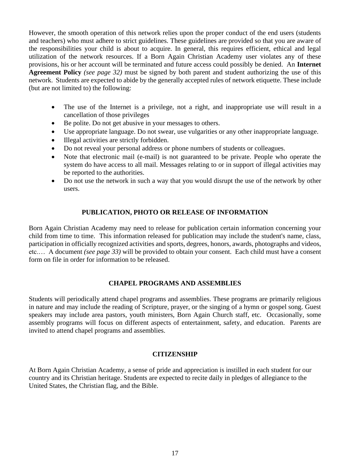However, the smooth operation of this network relies upon the proper conduct of the end users (students and teachers) who must adhere to strict guidelines. These guidelines are provided so that you are aware of the responsibilities your child is about to acquire. In general, this requires efficient, ethical and legal utilization of the network resources. If a Born Again Christian Academy user violates any of these provisions, his or her account will be terminated and future access could possibly be denied. An **Internet Agreement Policy** *(see page 32)* must be signed by both parent and student authorizing the use of this network. Students are expected to abide by the generally accepted rules of network etiquette. These include (but are not limited to) the following:

- The use of the Internet is a privilege, not a right, and inappropriate use will result in a cancellation of those privileges
- Be polite. Do not get abusive in your messages to others.
- Use appropriate language. Do not swear, use vulgarities or any other inappropriate language.
- Illegal activities are strictly forbidden.
- Do not reveal your personal address or phone numbers of students or colleagues.
- Note that electronic mail (e-mail) is not guaranteed to be private. People who operate the system do have access to all mail. Messages relating to or in support of illegal activities may be reported to the authorities.
- Do not use the network in such a way that you would disrupt the use of the network by other users.

#### **PUBLICATION, PHOTO OR RELEASE OF INFORMATION**

Born Again Christian Academy may need to release for publication certain information concerning your child from time to time. This information released for publication may include the student's name, class, participation in officially recognized activities and sports, degrees, honors, awards, photographs and videos, etc.… A document *(see page 33)* will be provided to obtain your consent. Each child must have a consent form on file in order for information to be released.

#### **CHAPEL PROGRAMS AND ASSEMBLIES**

Students will periodically attend chapel programs and assemblies. These programs are primarily religious in nature and may include the reading of Scripture, prayer, or the singing of a hymn or gospel song. Guest speakers may include area pastors, youth ministers, Born Again Church staff, etc. Occasionally, some assembly programs will focus on different aspects of entertainment, safety, and education. Parents are invited to attend chapel programs and assemblies.

#### **CITIZENSHIP**

At Born Again Christian Academy, a sense of pride and appreciation is instilled in each student for our country and its Christian heritage. Students are expected to recite daily in pledges of allegiance to the United States, the Christian flag, and the Bible.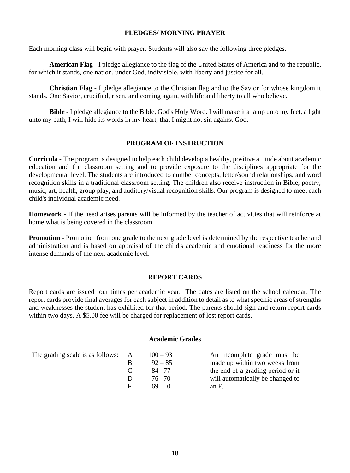#### **PLEDGES/ MORNING PRAYER**

Each morning class will begin with prayer. Students will also say the following three pledges.

**American Flag** - I pledge allegiance to the flag of the United States of America and to the republic, for which it stands, one nation, under God, indivisible, with liberty and justice for all.

**Christian Flag** - I pledge allegiance to the Christian flag and to the Savior for whose kingdom it stands. One Savior, crucified, risen, and coming again, with life and liberty to all who believe.

**Bible** - I pledge allegiance to the Bible, God's Holy Word. I will make it a lamp unto my feet, a light unto my path, I will hide its words in my heart, that I might not sin against God.

#### **PROGRAM OF INSTRUCTION**

**Curricula** - The program is designed to help each child develop a healthy, positive attitude about academic education and the classroom setting and to provide exposure to the disciplines appropriate for the developmental level. The students are introduced to number concepts, letter/sound relationships, and word recognition skills in a traditional classroom setting. The children also receive instruction in Bible, poetry, music, art, health, group play, and auditory/visual recognition skills. Our program is designed to meet each child's individual academic need.

**Homework** - If the need arises parents will be informed by the teacher of activities that will reinforce at home what is being covered in the classroom.

**Promotion** - Promotion from one grade to the next grade level is determined by the respective teacher and administration and is based on appraisal of the child's academic and emotional readiness for the more intense demands of the next academic level.

#### **REPORT CARDS**

Report cards are issued four times per academic year. The dates are listed on the school calendar. The report cards provide final averages for each subject in addition to detail as to what specific areas of strengths and weaknesses the student has exhibited for that period. The parents should sign and return report cards within two days. A \$5.00 fee will be charged for replacement of lost report cards.

#### **Academic Grades**

The grading scale is as follows:  $\overrightarrow{A}$ 

| $100 - 93$ | An incomplete grade must be       |
|------------|-----------------------------------|
| $92 - 85$  | made up within two weeks from     |
| $84 - 77$  | the end of a grading period or it |
| $76 - 70$  | will automatically be changed to  |
| $69 - 0$   | an F.                             |
|            |                                   |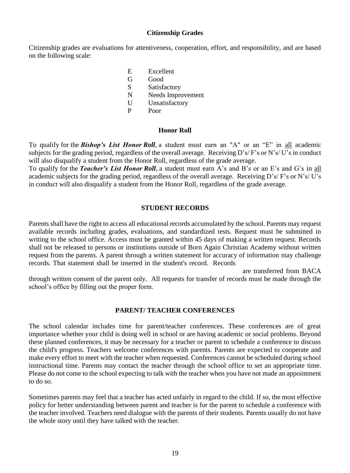#### **Citizenship Grades**

Citizenship grades are evaluations for attentiveness, cooperation, effort, and responsibility, and are based on the following scale:

- E Excellent G Good S Satisfactory N Needs Improvement U Unsatisfactory
- P Poor

#### **Honor Roll**

To qualify for the *Bishop's List Honor Roll*, a student must earn an "A" or an "E" in all academic subjects for the grading period, regardless of the overall average. Receiving D's/ F's or N's/ U's in conduct will also disqualify a student from the Honor Roll, regardless of the grade average.

To qualify for the *Teacher's List Honor Roll*, a student must earn A's and B's or an E's and G's in all academic subjects for the grading period, regardless of the overall average. Receiving D's/ F's or N's/ U's in conduct will also disqualify a student from the Honor Roll, regardless of the grade average.

#### **STUDENT RECORDS**

Parents shall have the right to access all educational records accumulated by the school. Parents may request available records including grades, evaluations, and standardized tests. Request must be submitted in writing to the school office. Access must be granted within 45 days of making a written request. Records shall not be released to persons or institutions outside of Born Again Christian Academy without written request from the parents. A parent through a written statement for accuracy of information may challenge records. That statement shall be inserted in the student's record. Records

are transferred from BACA through written consent of the parent only. All requests for transfer of records must be made through the school's office by filling out the proper form.

#### **PARENT/ TEACHER CONFERENCES**

The school calendar includes time for parent/teacher conferences. These conferences are of great importance whether your child is doing well in school or are having academic or social problems. Beyond these planned conferences, it may be necessary for a teacher or parent to schedule a conference to discuss the child's progress. Teachers welcome conferences with parents. Parents are expected to cooperate and make every effort to meet with the teacher when requested. Conferences cannot be scheduled during school instructional time. Parents may contact the teacher through the school office to set an appropriate time. Please do not come to the school expecting to talk with the teacher when you have not made an appointment to do so.

Sometimes parents may feel that a teacher has acted unfairly in regard to the child. If so, the most effective policy for better understanding between parent and teacher is for the parent to schedule a conference with the teacher involved. Teachers need dialogue with the parents of their students. Parents usually do not have the whole story until they have talked with the teacher.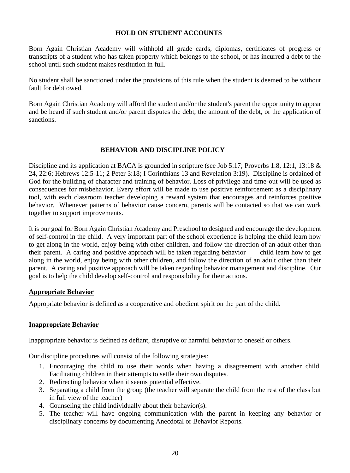#### **HOLD ON STUDENT ACCOUNTS**

Born Again Christian Academy will withhold all grade cards, diplomas, certificates of progress or transcripts of a student who has taken property which belongs to the school, or has incurred a debt to the school until such student makes restitution in full.

No student shall be sanctioned under the provisions of this rule when the student is deemed to be without fault for debt owed.

Born Again Christian Academy will afford the student and/or the student's parent the opportunity to appear and be heard if such student and/or parent disputes the debt, the amount of the debt, or the application of sanctions.

#### **BEHAVIOR AND DISCIPLINE POLICY**

Discipline and its application at BACA is grounded in scripture (see Job 5:17; Proverbs 1:8, 12:1, 13:18 & 24, [22:6;](file:///C:/Documents%20and%20Settings/Admin/Documents%20and%20Settings/Doris/Application%20Data/Microsoft/Word/passage/%3fbook_id=24&chapter=22&verse=6&version=9&context=verse) Hebrews 12:5-11; 2 Peter 3:18; I Corinthians 13 and Revelation 3:19). Discipline is ordained of God for the building of character and training of behavior. Loss of privilege and time-out will be used as consequences for misbehavior. Every effort will be made to use positive reinforcement as a disciplinary tool, with each classroom teacher developing a reward system that encourages and reinforces positive behavior. Whenever patterns of behavior cause concern, parents will be contacted so that we can work together to support improvements.

It is our goal for Born Again Christian Academy and Preschool to designed and encourage the development of self-control in the child. A very important part of the school experience is helping the child learn how to get along in the world, enjoy being with other children, and follow the direction of an adult other than their parent. A caring and positive approach will be taken regarding behavior child learn how to get along in the world, enjoy being with other children, and follow the direction of an adult other than their parent. A caring and positive approach will be taken regarding behavior management and discipline. Our goal is to help the child develop self-control and responsibility for their actions.

#### **Appropriate Behavior**

Appropriate behavior is defined as a cooperative and obedient spirit on the part of the child.

#### **Inappropriate Behavior**

Inappropriate behavior is defined as defiant, disruptive or harmful behavior to oneself or others.

Our discipline procedures will consist of the following strategies:

- 1. Encouraging the child to use their words when having a disagreement with another child. Facilitating children in their attempts to settle their own disputes.
- 2. Redirecting behavior when it seems potential effective.
- 3. Separating a child from the group (the teacher will separate the child from the rest of the class but in full view of the teacher)
- 4. Counseling the child individually about their behavior(s).
- 5. The teacher will have ongoing communication with the parent in keeping any behavior or disciplinary concerns by documenting Anecdotal or Behavior Reports.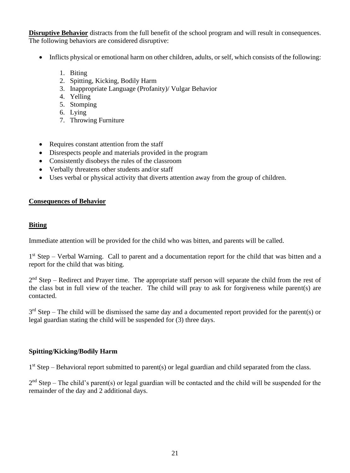**Disruptive Behavior** distracts from the full benefit of the school program and will result in consequences. The following behaviors are considered disruptive:

- Inflicts physical or emotional harm on other children, adults, or self, which consists of the following:
	- 1. Biting
	- 2. Spitting, Kicking, Bodily Harm
	- 3. Inappropriate Language (Profanity)/ Vulgar Behavior
	- 4. Yelling
	- 5. Stomping
	- 6. Lying
	- 7. Throwing Furniture
- Requires constant attention from the staff
- Disrespects people and materials provided in the program
- Consistently disobeys the rules of the classroom
- Verbally threatens other students and/or staff
- Uses verbal or physical activity that diverts attention away from the group of children.

#### **Consequences of Behavior**

#### **Biting**

Immediate attention will be provided for the child who was bitten, and parents will be called.

1<sup>st</sup> Step – Verbal Warning. Call to parent and a documentation report for the child that was bitten and a report for the child that was biting.

 $2<sup>nd</sup>$  Step – Redirect and Prayer time. The appropriate staff person will separate the child from the rest of the class but in full view of the teacher. The child will pray to ask for forgiveness while parent(s) are contacted.

 $3<sup>rd</sup>$  Step – The child will be dismissed the same day and a documented report provided for the parent(s) or legal guardian stating the child will be suspended for (3) three days.

#### **Spitting/Kicking/Bodily Harm**

1<sup>st</sup> Step – Behavioral report submitted to parent(s) or legal guardian and child separated from the class.

 $2<sup>nd</sup>$  Step – The child's parent(s) or legal guardian will be contacted and the child will be suspended for the remainder of the day and 2 additional days.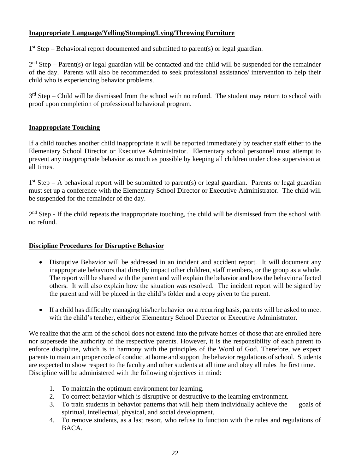#### **Inappropriate Language/Yelling/Stomping/Lying/Throwing Furniture**

1<sup>st</sup> Step – Behavioral report documented and submitted to parent(s) or legal guardian.

 $2<sup>nd</sup>$  Step – Parent(s) or legal guardian will be contacted and the child will be suspended for the remainder of the day. Parents will also be recommended to seek professional assistance/ intervention to help their child who is experiencing behavior problems.

 $3<sup>rd</sup>$  Step – Child will be dismissed from the school with no refund. The student may return to school with proof upon completion of professional behavioral program.

#### **Inappropriate Touching**

If a child touches another child inappropriate it will be reported immediately by teacher staff either to the Elementary School Director or Executive Administrator. Elementary school personnel must attempt to prevent any inappropriate behavior as much as possible by keeping all children under close supervision at all times.

1<sup>st</sup> Step – A behavioral report will be submitted to parent(s) or legal guardian. Parents or legal guardian must set up a conference with the Elementary School Director or Executive Administrator. The child will be suspended for the remainder of the day.

2<sup>nd</sup> Step - If the child repeats the inappropriate touching, the child will be dismissed from the school with no refund.

#### **Discipline Procedures for Disruptive Behavior**

- Disruptive Behavior will be addressed in an incident and accident report. It will document any inappropriate behaviors that directly impact other children, staff members, or the group as a whole. The report will be shared with the parent and will explain the behavior and how the behavior affected others. It will also explain how the situation was resolved. The incident report will be signed by the parent and will be placed in the child's folder and a copy given to the parent.
- If a child has difficulty managing his/her behavior on a recurring basis, parents will be asked to meet with the child's teacher, either/or Elementary School Director or Executive Administrator.

We realize that the arm of the school does not extend into the private homes of those that are enrolled here nor supersede the authority of the respective parents. However, it is the responsibility of each parent to enforce discipline, which is in harmony with the principles of the Word of God. Therefore, we expect parents to maintain proper code of conduct at home and support the behavior regulations of school. Students are expected to show respect to the faculty and other students at all time and obey all rules the first time. Discipline will be administered with the following objectives in mind:

- 1. To maintain the optimum environment for learning.
- 2. To correct behavior which is disruptive or destructive to the learning environment.
- 3. To train students in behavior patterns that will help them individually achieve the goals of spiritual, intellectual, physical, and social development.
- 4. To remove students, as a last resort, who refuse to function with the rules and regulations of BACA.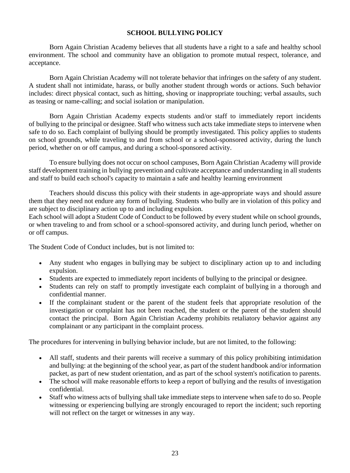#### **SCHOOL BULLYING POLICY**

Born Again Christian Academy believes that all students have a right to a safe and healthy school environment. The school and community have an obligation to promote mutual respect, tolerance, and acceptance.

Born Again Christian Academy will not tolerate behavior that infringes on the safety of any student. A student shall not intimidate, harass, or bully another student through words or actions. Such behavior includes: direct physical contact, such as hitting, shoving or inappropriate touching; verbal assaults, such as teasing or name-calling; and social isolation or manipulation.

Born Again Christian Academy expects students and/or staff to immediately report incidents of bullying to the principal or designee. Staff who witness such acts take immediate steps to intervene when safe to do so. Each complaint of bullying should be promptly investigated. This policy applies to students on school grounds, while traveling to and from school or a school-sponsored activity, during the lunch period, whether on or off campus, and during a school-sponsored activity.

To ensure bullying does not occur on school campuses, Born Again Christian Academy will provide staff development training in bullying prevention and cultivate acceptance and understanding in all students and staff to build each school's capacity to maintain a safe and healthy learning environment

Teachers should discuss this policy with their students in age-appropriate ways and should assure them that they need not endure any form of bullying. Students who bully are in violation of this policy and are subject to disciplinary action up to and including expulsion.

Each school will adopt a Student Code of Conduct to be followed by every student while on school grounds, or when traveling to and from school or a school-sponsored activity, and during lunch period, whether on or off campus.

The Student Code of Conduct includes, but is not limited to:

- Any student who engages in bullying may be subject to disciplinary action up to and including expulsion.
- Students are expected to immediately report incidents of bullying to the principal or designee.
- Students can rely on staff to promptly investigate each complaint of bullying in a thorough and confidential manner.
- If the complainant student or the parent of the student feels that appropriate resolution of the investigation or complaint has not been reached, the student or the parent of the student should contact the principal. Born Again Christian Academy prohibits retaliatory behavior against any complainant or any participant in the complaint process.

The procedures for intervening in bullying behavior include, but are not limited, to the following:

- All staff, students and their parents will receive a summary of this policy prohibiting intimidation and bullying: at the beginning of the school year, as part of the student handbook and/or information packet, as part of new student orientation, and as part of the school system's notification to parents.
- The school will make reasonable efforts to keep a report of bullying and the results of investigation confidential.
- Staff who witness acts of bullying shall take immediate steps to intervene when safe to do so. People witnessing or experiencing bullying are strongly encouraged to report the incident; such reporting will not reflect on the target or witnesses in any way.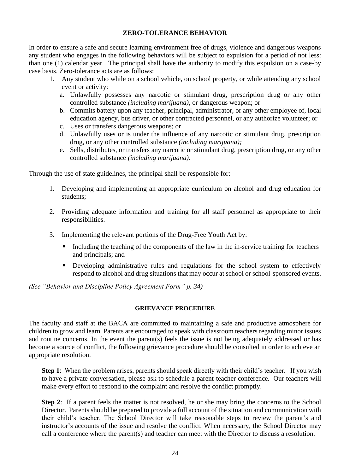#### **ZERO-TOLERANCE BEHAVIOR**

In order to ensure a safe and secure learning environment free of drugs, violence and dangerous weapons any student who engages in the following behaviors will be subject to expulsion for a period of not less: than one (1) calendar year. The principal shall have the authority to modify this expulsion on a case-by case basis. Zero-tolerance acts are as follows:

- 1. Any student who while on a school vehicle, on school property, or while attending any school event or activity:
	- a. Unlawfully possesses any narcotic or stimulant drug, prescription drug or any other controlled substance *(including marijuana),* or dangerous weapon; or
	- b. Commits battery upon any teacher, principal, administrator, or any other employee of, local education agency, bus driver, or other contracted personnel, or any authorize volunteer; or
	- c. Uses or transfers dangerous weapons; or
	- d. Unlawfully uses or is under the influence of any narcotic or stimulant drug, prescription drug, or any other controlled substance *(including marijuana);*
	- e. Sells, distributes, or transfers any narcotic or stimulant drug, prescription drug, or any other controlled substance *(including marijuana).*

Through the use of state guidelines, the principal shall be responsible for:

- 1. Developing and implementing an appropriate curriculum on alcohol and drug education for students;
- 2. Providing adequate information and training for all staff personnel as appropriate to their responsibilities.
- 3. Implementing the relevant portions of the Drug-Free Youth Act by:
	- Including the teaching of the components of the law in the in-service training for teachers and principals; and
	- **•** Developing administrative rules and regulations for the school system to effectively respond to alcohol and drug situations that may occur at school or school-sponsored events.

*(See "Behavior and Discipline Policy Agreement Form*<sup>*"*</sup> *p. 34)* 

#### **GRIEVANCE PROCEDURE**

The faculty and staff at the BACA are committed to maintaining a safe and productive atmosphere for children to grow and learn. Parents are encouraged to speak with classroom teachers regarding minor issues and routine concerns. In the event the parent(s) feels the issue is not being adequately addressed or has become a source of conflict, the following grievance procedure should be consulted in order to achieve an appropriate resolution.

**Step 1**: When the problem arises, parents should speak directly with their child's teacher. If you wish to have a private conversation, please ask to schedule a parent-teacher conference. Our teachers will make every effort to respond to the complaint and resolve the conflict promptly.

**Step 2:** If a parent feels the matter is not resolved, he or she may bring the concerns to the School Director. Parents should be prepared to provide a full account of the situation and communication with their child's teacher. The School Director will take reasonable steps to review the parent's and instructor's accounts of the issue and resolve the conflict. When necessary, the School Director may call a conference where the parent(s) and teacher can meet with the Director to discuss a resolution.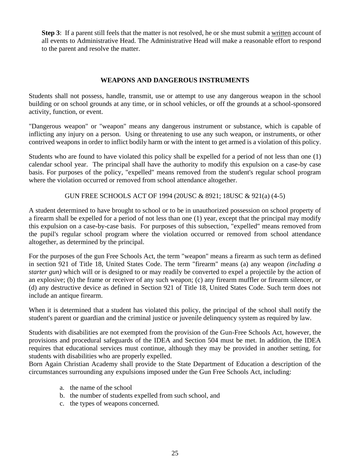**Step 3**: If a parent still feels that the matter is not resolved, he or she must submit a written account of all events to Administrative Head. The Administrative Head will make a reasonable effort to respond to the parent and resolve the matter.

#### **WEAPONS AND DANGEROUS INSTRUMENTS**

Students shall not possess, handle, transmit, use or attempt to use any dangerous weapon in the school building or on school grounds at any time, or in school vehicles, or off the grounds at a school-sponsored activity, function, or event.

"Dangerous weapon" or "weapon" means any dangerous instrument or substance, which is capable of inflicting any injury on a person. Using or threatening to use any such weapon, or instruments, or other contrived weapons in order to inflict bodily harm or with the intent to get armed is a violation of this policy.

Students who are found to have violated this policy shall be expelled for a period of not less than one (1) calendar school year. The principal shall have the authority to modify this expulsion on a case-by case basis. For purposes of the policy, "expelled" means removed from the student's regular school program where the violation occurred or removed from school attendance altogether.

GUN FREE SCHOOLS ACT OF 1994 (20USC & 8921; 18USC & 921(a) (4-5)

A student determined to have brought to school or to be in unauthorized possession on school property of a firearm shall be expelled for a period of not less than one (1) year, except that the principal may modify this expulsion on a case-by-case basis. For purposes of this subsection, "expelled" means removed from the pupil's regular school program where the violation occurred or removed from school attendance altogether, as determined by the principal.

For the purposes of the gun Free Schools Act, the term "weapon" means a firearm as such term as defined in section 921 of Title 18, United States Code. The term "firearm" means (a) any weapon *(including a starter gun)* which will or is designed to or may readily be converted to expel a projectile by the action of an explosive; (b) the frame or receiver of any such weapon; (c) any firearm muffler or firearm silencer, or (d) any destructive device as defined in Section 921 of Title 18, United States Code. Such term does not include an antique firearm.

When it is determined that a student has violated this policy, the principal of the school shall notify the student's parent or guardian and the criminal justice or juvenile delinquency system as required by law.

Students with disabilities are not exempted from the provision of the Gun-Free Schools Act, however, the provisions and procedural safeguards of the IDEA and Section 504 must be met. In addition, the IDEA requires that educational services must continue, although they may be provided in another setting, for students with disabilities who are properly expelled.

Born Again Christian Academy shall provide to the State Department of Education a description of the circumstances surrounding any expulsions imposed under the Gun Free Schools Act, including:

- a. the name of the school
- b. the number of students expelled from such school, and
- c. the types of weapons concerned.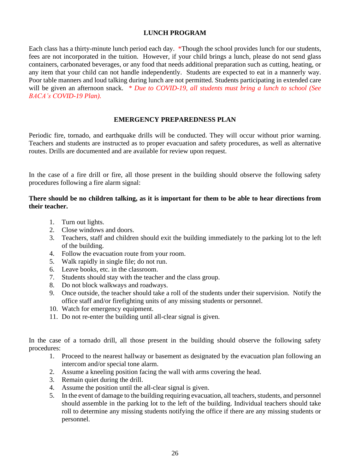#### **LUNCH PROGRAM**

Each class has a thirty-minute lunch period each day. \*Though the school provides lunch for our students, fees are not incorporated in the tuition. However, if your child brings a lunch, please do not send glass containers, carbonated beverages, or any food that needs additional preparation such as cutting, heating, or any item that your child can not handle independently. Students are expected to eat in a mannerly way. Poor table manners and loud talking during lunch are not permitted. Students participating in extended care will be given an afternoon snack. *\* Due to COVID-19, all students must bring a lunch to school (See BACA's COVID-19 Plan).*

#### **EMERGENCY PREPAREDNESS PLAN**

Periodic fire, tornado, and earthquake drills will be conducted. They will occur without prior warning. Teachers and students are instructed as to proper evacuation and safety procedures, as well as alternative routes. Drills are documented and are available for review upon request.

In the case of a fire drill or fire, all those present in the building should observe the following safety procedures following a fire alarm signal:

#### **There should be no children talking, as it is important for them to be able to hear directions from their teacher.**

- 1. Turn out lights.
- 2. Close windows and doors.
- 3. Teachers, staff and children should exit the building immediately to the parking lot to the left of the building.
- 4. Follow the evacuation route from your room.
- 5. Walk rapidly in single file; do not run.
- 6. Leave books, etc. in the classroom.
- 7. Students should stay with the teacher and the class group.
- 8. Do not block walkways and roadways.
- 9. Once outside, the teacher should take a roll of the students under their supervision. Notify the office staff and/or firefighting units of any missing students or personnel.
- 10. Watch for emergency equipment.
- 11. Do not re-enter the building until all-clear signal is given.

In the case of a tornado drill, all those present in the building should observe the following safety procedures:

- 1. Proceed to the nearest hallway or basement as designated by the evacuation plan following an intercom and/or special tone alarm.
- 2. Assume a kneeling position facing the wall with arms covering the head.
- 3. Remain quiet during the drill.
- 4. Assume the position until the all-clear signal is given.
- 5. In the event of damage to the building requiring evacuation, all teachers, students, and personnel should assemble in the parking lot to the left of the building. Individual teachers should take roll to determine any missing students notifying the office if there are any missing students or personnel.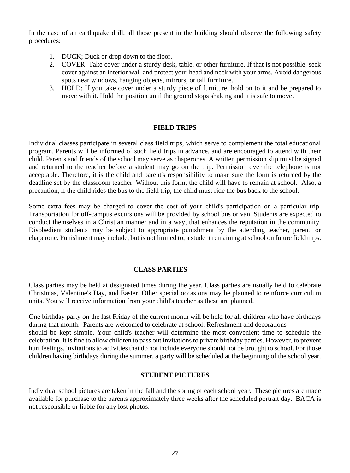In the case of an earthquake drill, all those present in the building should observe the following safety procedures:

- 1. DUCK; Duck or drop down to the floor.
- 2. COVER: Take cover under a sturdy desk, table, or other furniture. If that is not possible, seek cover against an interior wall and protect your head and neck with your arms. Avoid dangerous spots near windows, hanging objects, mirrors, or tall furniture.
- 3. HOLD: If you take cover under a sturdy piece of furniture, hold on to it and be prepared to move with it. Hold the position until the ground stops shaking and it is safe to move.

#### **FIELD TRIPS**

Individual classes participate in several class field trips, which serve to complement the total educational program. Parents will be informed of such field trips in advance, and are encouraged to attend with their child. Parents and friends of the school may serve as chaperones. A written permission slip must be signed and returned to the teacher before a student may go on the trip. Permission over the telephone is not acceptable. Therefore, it is the child and parent's responsibility to make sure the form is returned by the deadline set by the classroom teacher. Without this form, the child will have to remain at school. Also, a precaution, if the child rides the bus to the field trip, the child must ride the bus back to the school.

Some extra fees may be charged to cover the cost of your child's participation on a particular trip. Transportation for off-campus excursions will be provided by school bus or van. Students are expected to conduct themselves in a Christian manner and in a way, that enhances the reputation in the community. Disobedient students may be subject to appropriate punishment by the attending teacher, parent, or chaperone. Punishment may include, but is not limited to, a student remaining at school on future field trips.

#### **CLASS PARTIES**

Class parties may be held at designated times during the year. Class parties are usually held to celebrate Christmas, Valentine's Day, and Easter. Other special occasions may be planned to reinforce curriculum units. You will receive information from your child's teacher as these are planned.

One birthday party on the last Friday of the current month will be held for all children who have birthdays during that month. Parents are welcomed to celebrate at school. Refreshment and decorations should be kept simple. Your child's teacher will determine the most convenient time to schedule the celebration. It is fine to allow children to pass out invitations to private birthday parties. However, to prevent hurt feelings, invitations to activities that do not include everyone should not be brought to school. For those children having birthdays during the summer, a party will be scheduled at the beginning of the school year.

#### **STUDENT PICTURES**

Individual school pictures are taken in the fall and the spring of each school year. These pictures are made available for purchase to the parents approximately three weeks after the scheduled portrait day. BACA is not responsible or liable for any lost photos.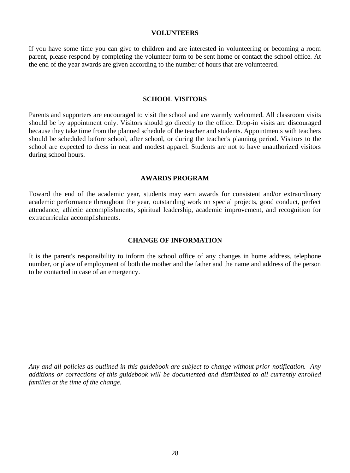#### **VOLUNTEERS**

If you have some time you can give to children and are interested in volunteering or becoming a room parent, please respond by completing the volunteer form to be sent home or contact the school office. At the end of the year awards are given according to the number of hours that are volunteered.

#### **SCHOOL VISITORS**

Parents and supporters are encouraged to visit the school and are warmly welcomed. All classroom visits should be by appointment only. Visitors should go directly to the office. Drop-in visits are discouraged because they take time from the planned schedule of the teacher and students. Appointments with teachers should be scheduled before school, after school, or during the teacher's planning period. Visitors to the school are expected to dress in neat and modest apparel. Students are not to have unauthorized visitors during school hours.

#### **AWARDS PROGRAM**

Toward the end of the academic year, students may earn awards for consistent and/or extraordinary academic performance throughout the year, outstanding work on special projects, good conduct, perfect attendance, athletic accomplishments, spiritual leadership, academic improvement, and recognition for extracurricular accomplishments.

#### **CHANGE OF INFORMATION**

It is the parent's responsibility to inform the school office of any changes in home address, telephone number, or place of employment of both the mother and the father and the name and address of the person to be contacted in case of an emergency.

*Any and all policies as outlined in this guidebook are subject to change without prior notification. Any additions or corrections of this guidebook will be documented and distributed to all currently enrolled families at the time of the change.*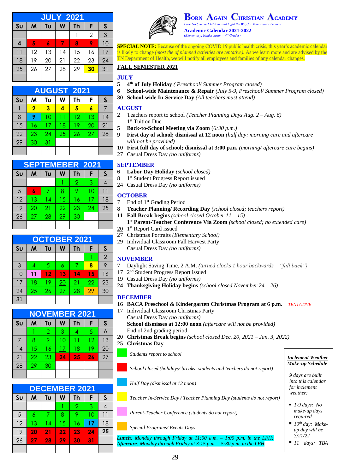| <b>JULY 2021</b> |    |    |    |           |    |              |  |  |
|------------------|----|----|----|-----------|----|--------------|--|--|
| S <sub>U</sub>   | M  | Tu | W  | <b>Th</b> | F  | $\mathsf{s}$ |  |  |
|                  |    |    |    |           | 2  | 3            |  |  |
| 4                | 5  | 6  | 7  | 8         | 9  | 10           |  |  |
| $\overline{11}$  | 12 | 13 | 14 | 15        | 16 | 17           |  |  |
| 18               | 19 | 20 | 21 | 22        | 23 | 24           |  |  |
| 25               | 26 | 27 | 28 | 29        | 30 | 31           |  |  |
|                  |    |    |    |           |    |              |  |  |

| <b>AUGUST 2021</b> |                         |    |    |    |    |    |  |  |  |
|--------------------|-------------------------|----|----|----|----|----|--|--|--|
| S <sub>U</sub>     | M                       | Tυ | W  | Th | F  | S  |  |  |  |
|                    | $\overline{\mathbf{2}}$ | 3  | 4  | 5  | 6  |    |  |  |  |
| 8                  | 9                       | 10 | 11 | 12 | 13 | 14 |  |  |  |
| 15                 | 16                      | 17 | 18 | 19 | 20 | 21 |  |  |  |
| 22                 | 23                      | 24 | 25 | 26 | 27 | 28 |  |  |  |
| 29                 | 30                      | 31 |    |    |    |    |  |  |  |
|                    |                         |    |    |    |    |    |  |  |  |

| <b>SEPTEMEBER 2021</b> |    |    |    |                |    |    |  |  |
|------------------------|----|----|----|----------------|----|----|--|--|
| S <sub>U</sub>         | M  | Tu | W  | Th             | F  | S  |  |  |
|                        |    |    |    | $\overline{2}$ | 3  |    |  |  |
| 5                      | 6  |    | 8  | 9              | 10 |    |  |  |
| 12                     | 13 | 14 | 15 | 16             | 17 | 18 |  |  |
| 19                     | 20 | 21 | 22 | 23             | 24 | 25 |  |  |
| 26                     | 27 | 28 | 29 | 30             |    |    |  |  |
|                        |    |    |    |                |    |    |  |  |

| <b>OCTOBER 2021</b> |    |    |    |           |    |                |  |
|---------------------|----|----|----|-----------|----|----------------|--|
| S <sub>U</sub>      | M  | Tu | W  | <b>Th</b> | F  | S              |  |
|                     |    |    |    |           |    | $\overline{2}$ |  |
| 3                   | 4  | 5  | 6  | 7         | 8  | 9              |  |
| 10                  | 11 | 12 | 13 | 14        | 15 | 16             |  |
| 17                  | 18 | 19 | 20 | 21        | 22 | 23             |  |
| 24                  | 25 | 26 | 27 | 28        | 29 | 30             |  |
| 31                  |    |    |    |           |    |                |  |

| <b>NOVEMBER 2021</b> |    |    |    |    |    |    |  |  |
|----------------------|----|----|----|----|----|----|--|--|
| S <sub>U</sub>       | M  | Tυ | W  | Th | F  | S  |  |  |
|                      |    | 2  | 3  | 4  | 5  |    |  |  |
| 7                    | 8  | 9  | 10 | 11 | 12 | 13 |  |  |
| 14                   | 15 | 16 | 17 | 18 | 19 | 20 |  |  |
| 21                   | 22 | 23 | 24 | 25 | 26 | 27 |  |  |
| 28                   | 29 | 30 |    |    |    |    |  |  |
|                      |    |    |    |    |    |    |  |  |

| <b>DECEMBER 2021</b> |    |    |    |    |    |    |  |  |
|----------------------|----|----|----|----|----|----|--|--|
| S <sub>U</sub>       | M  | Tυ | W  | Th | F  | S  |  |  |
|                      |    |    |    | 2  | 3  |    |  |  |
| 5                    | 6  | 7  | 8  | 9  | 10 | 11 |  |  |
| 12                   | 13 | 14 | 15 | 16 | 17 | 18 |  |  |
| 19                   | 20 | 21 | 22 | 23 | 24 | 25 |  |  |
| 26                   | 27 | 28 | 29 | 30 | 31 |    |  |  |
|                      |    |    |    |    |    |    |  |  |



 $\mathbf{B}$ <sub>GAIN</sub> **CHRISTIAN** *Love God, Serve Children, and Light the Way for Tom* **Academic Calendar 2021-2022** *(Elementary: Kindergarten – 4 th Grades)*

**SPECIAL NOTE:** Because of the ongoing COVID 19 public health crisis, this year's academic calendar is likely to change *(most the of planned activities are tentative).* As we learn more and are advised by the TN Department of Health, we will notify all employees and families of any calendar changes.

#### **FALL SEMESTER 2021**

#### **JULY**

- **5 4 th of July Holiday** *( Preschool/ Summer Program closed)*
- **6 School-wide Maintenance & Repair** *(July 5-9, Preschool/ Summer Program closed)*
- **30 School-wide In-Service Day** *(All teachers must attend)*

#### **AUGUST**

- **2** Teachers report to school *(Teacher Planning Days Aug. 2 – Aug. 6)* 1 st Tuition Due
- **5 Back-to-School Meeting via Zoom** (*6:30 p.m.)*
- **9 First day of school; dismissal at 12 noon** *(half day: morning care and aftercare will not be provided)*
- **10 First full day of school; dismissal at 3:00 p.m.** *(morning/ aftercare care begins)*
- 27 Casual Dress Day *(no uniforms)*

#### **SEPTEMBER**

- **6 Labor Day Holiday** *(school closed)*
- 8 1<sup>st</sup> Student Progress Report issued
- 24 Casual Dress Day *(no uniforms)*

#### **OCTOBER**

- 7 End of 1st Grading Period
- **8 Teacher Planning/ Recording Day** *(school closed; teachers report)*
- **11 Fall Break begins** *(school closed October 11 – 15)*
- **1 st Parent-Teacher Conference Via Zoom** *(school closed; no extended care)*
- 20 1<sup>st</sup> Report Card issued
- 27 Christmas Portraits *(Elementary School)*
- 29 Individual Classroom Fall Harvest Party Casual Dress Day *(no uniforms)*

#### **NOVEMBER**

- 7 Daylight Saving Time, 2 A.M. *(turned clocks 1 hour backwards – "fall back")*
- 17 2<sup>nd</sup> Student Progress Report issued
- 19 Casual Dress Day *(no uniforms)*
- **24 Thanksgiving Holiday begins** *(school closed November 24 – 26)*

#### **DECEMBER**

- **16 BACA Preschool & Kindergarten Christmas Program at 6 p.m.** *TENTATIVE*
- 17 Individual Classroom Christmas Party Casual Dress Day *(no uniforms)* **School dismisses at 12:00 noon** *(aftercare will not be provided)* End of 2nd grading period
- **20 Christmas Break begins** *(school closed Dec. 20, 2021 – Jan. 3, 2022)*
- **25 Christmas Day**
	- *Students report to school Inclement Weather Inclement Weather*

*School closed (holidays/ breaks: students and teachers do not report)*

*Half Day (dismissal at 12 noon)*

*Teacher In-Service Day / Teacher Planning Day (students do not report)*

*Parent-Teacher Conference (students do not report)*

*Special Programs/ Events Days*

*Lunch: Monday through Friday at 11:00 a.m. – 1:00 p.m. in the LFH; Aftercare: Monday through Friday at 3:15 p.m. – 5:30 p.m. in the LFH*

# *Make-up Schedule*

*9 days are built into this calendar for inclement weather:*

- *1-9 days: No make-up days required*
- 10<sup>th</sup> day: Make*up day will be 3/21/22*
- $\blacksquare$  *11+ days: TBA*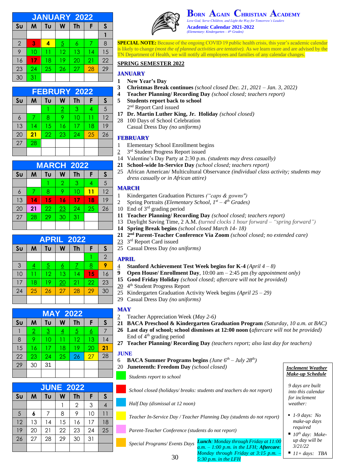| <b>JANUARY 2022</b> |    |    |                |    |    |              |  |  |
|---------------------|----|----|----------------|----|----|--------------|--|--|
| S <sub>U</sub>      | M  | Tυ | W              | Th | F  | $\mathsf{s}$ |  |  |
|                     |    |    |                |    |    |              |  |  |
| $\overline{2}$      | 3  | 4  | $\overline{5}$ | 6  |    | 8            |  |  |
| 9                   | 10 |    | 12             | 13 | 14 | 15           |  |  |
| 16                  | 17 | 18 | 19             | 20 | 21 | 22           |  |  |
| 23                  | 24 | 25 | 26             | 27 | 28 | 29           |  |  |
| 30                  | 31 |    |                |    |    |              |  |  |

| <b>FEBRURY 2022</b> |    |    |                |    |    |    |  |  |
|---------------------|----|----|----------------|----|----|----|--|--|
| S <sub>U</sub>      | M  | Tυ | W              | Th | F  | S  |  |  |
|                     |    |    | $\overline{2}$ | 3  | 4  | 5  |  |  |
| 6                   | 7  | 8  | 9              | 10 | 11 | 12 |  |  |
| 13                  | 14 | 15 | 16             | 17 | 18 | 19 |  |  |
| 20                  | 21 | 22 | 23             | 24 | 25 | 26 |  |  |
| 27                  | 28 |    |                |    |    |    |  |  |
|                     |    |    |                |    |    |    |  |  |

| <b>MARCH 2022</b> |    |    |                |           |    |    |
|-------------------|----|----|----------------|-----------|----|----|
| S <sub>U</sub>    | M  | Tu | W              | <b>Th</b> | F  | S  |
|                   |    |    | $\overline{2}$ | 3         | 4  | 5  |
| 6                 |    | 8  | 9              | 10        | 11 | 12 |
| 13                | 14 | 15 | 16             | 17        | 18 | 19 |
| 20                | 21 | 22 | 23             | 24        | 25 | 26 |
| 27                | 28 | 29 | 30             | 31        |    |    |
|                   |    |    |                |           |    |    |

| <b>APRIL 2022</b> |          |                 |           |                 |    |                |
|-------------------|----------|-----------------|-----------|-----------------|----|----------------|
| S <sub>U</sub>    | M        | Tυ              | W         | Th              | F  | S              |
|                   |          |                 |           |                 |    | $\overline{2}$ |
| 3                 | <u>4</u> | $\overline{5}$  | <u> 6</u> | 7               | 8  | 9              |
| 10                | 11       | $\overline{12}$ | 13        | $\overline{14}$ | 15 | 16             |
| 17                | 18       | 19              | 20        | 21              | 22 | 23             |
| 24                | 25       | 26              | 27        | 28              | 29 | 30             |
|                   |          |                 |           |                 |    |                |

| <b>MAY 2022</b> |                |                         |                |                |          |    |
|-----------------|----------------|-------------------------|----------------|----------------|----------|----|
| S <sub>U</sub>  | M              | Tυ                      | W              | <b>Th</b>      | F        | S  |
|                 | $\overline{2}$ | $\overline{\mathbf{3}}$ | $\overline{4}$ | $\overline{5}$ | <u>6</u> |    |
| 8               | 9              | 10                      | 11             | 12             | 13       | 4  |
| 15              | 16             | 17                      | 18             | 19             | 20       | 21 |
| 22              | 23             | 24                      | 25             | 26             | 27       | 28 |
| 29              | 30             | 31                      |                |                |          |    |
|                 |                |                         |                |                |          |    |

| <b>JUNE 2022</b> |    |    |    |                |    |    |
|------------------|----|----|----|----------------|----|----|
| S <sub>U</sub>   | M  | Tυ | W  | <b>Th</b>      | F  | S  |
|                  |    |    |    | $\overline{2}$ | 3  |    |
| 5                | 6  |    | 8  | 9              | 10 |    |
| 12               | 13 | 4  | 15 | 16             | 17 | 18 |
| 19               | 20 | 21 | 22 | 23             | 24 | 25 |
| 26               | 27 | 28 | 29 | 30             | 31 |    |
|                  |    |    |    |                |    |    |



**ORN GAIN HRISTIAN CADEMY** *Love God, Serve Children, and Light the Way for Tomorrow's Leaders*

**Academic Calendar 2021-2022** *(Elementary: Kindergarten – 4 th Grades)*

**SPECIAL NOTE:** Because of the ongoing COVID 19 public health crisis, this year's academic calendar is likely to change *(most the of planned activities are tentative).* As we learn more and are advised by the TN Department of Health, we will notify all employees and families of any calendar changes.

#### **SPRING SEMESTER 2022**

#### **JANUARY**

- **1 New Year's Day**
- **3 Christmas Break continues** *(school closed Dec. 21, 2021 – Jan. 3, 2022)*
- **4 Teacher Planning/ Recording Day** *(school closed; teachers report)*
	- **5 Students report back to school**  2<sup>nd</sup> Report Card issued
- **17 Dr. Martin Luther King, Jr. Holiday** *(school closed)*
- 28 100 Days of School Celebration Casual Dress Day *(no uniforms)*

#### **FEBRUARY**

- 1 Elementary School Enrollment begins
- $\overline{2}$ 3<sup>rd</sup> Student Progress Report issued
- 14 Valentine's Day Party at 2:30 p.m. *(students may dress casually)*
- **21 School***-***wide In-Service Day** *(school closed; teachers report)*
- 25 African American/ Multicultural Observance *(individual class activity; students may dress casually or in African attire)*

#### **MARCH**

- 1 Kindergarten Graduation Pictures *("caps & gowns")*
- 2 Spring Portraits *(Elementary School, 1st – 4 th Grades)*
- 10 End of 3rd grading period
- **11 Teacher Planning/ Recording Day** *(school closed; teachers report)*
- 13 Daylight Saving Time, 2 A.M. *(turned clocks 1 hour forward – "spring forward")*
- **14 Spring Break begins** *(school closed March 14- 18)*
- **21 2 nd Parent-Teacher Conference Via Zoom** *(school closed; no extended care)*
- 23 3<sup>rd</sup> Report Card issued
- 25 Casual Dress Day *(no uniforms)*

#### **APRIL**

- 4 **Stanford Achievement Test Week begins for K-4** *(April 4 – 8)*
- **9 Open House/ Enrollment Day**, 10:00 am 2:45 pm *(by appointment only)*
- **15 Good Friday Holiday** *(school closed; aftercare will not be provided)*
- 20 4<sup>th</sup> Student Progress Report
- 25 Kindergarten Graduation Activity Week begins *(April 25 – 29)*
- 29 Casual Dress Day *(no uniforms)*

#### **MAY**

- 2 Teacher Appreciation Week (*May 2-6)*
- **21 BACA Preschool & Kindergarten Graduation Program** *(Saturday, 10 a.m. at BAC)*
- **26 Last day of school; school dismisses at 12:00 noon (***aftercare will not be provided)* End of 4th grading period
- **27 Teacher Planning/ Recording Day** *(teachers report; also last day for teachers)*

#### **JUNE**

- 6 **BACA Summer Programs begins** *(June 6th – July 28th)*
- 20 **Juneteenth: Freedom Day** *(school closed) Inclement Weather*

*Students report to school*

*School closed (holidays/ breaks: students and teachers do not report)*

*Half Day (dismissal at 12 noon)*

*Teacher In-Service Day / Teacher Planning Day (students do not report)*

*Parent-Teacher Conference (students do not report)*

*Special Programs/ Events Days Lunch: Monday through Friday at 11:00 a.m. – 1:00 p.m. in the LFH; Aftercare: Monday through Friday at 3:15 p.m. –*

*5:30 p.m. in the LFH*

30



*9 days are built into this calendar for inclement weather:*

- *1-9 days: No make-up days required*
- *10<sup>th</sup> day: Makeup day will be 3/21/22*
- $\blacksquare$  *11+ days: TBA*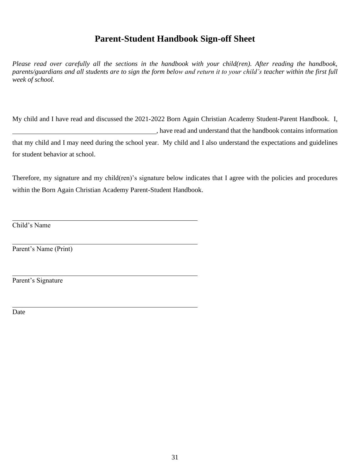# **Parent-Student Handbook Sign-off Sheet**

*Please read over carefully all the sections in the handbook with your child(ren). After reading the handbook, parents/guardians and all students are to sign the form below and return it to your child's teacher within the first full week of school.*

My child and I have read and discussed the 2021-2022 Born Again Christian Academy Student-Parent Handbook. I, , have read and understand that the handbook contains information that my child and I may need during the school year. My child and I also understand the expectations and guidelines for student behavior at school.

Therefore, my signature and my child(ren)'s signature below indicates that I agree with the policies and procedures within the Born Again Christian Academy Parent-Student Handbook.

Child's Name

Parent's Name (Print)

Parent's Signature

Date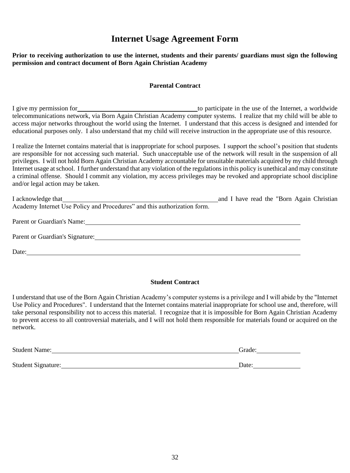# **Internet Usage Agreement Form**

**Prior to receiving authorization to use the internet, students and their parents/ guardians must sign the following permission and contract document of Born Again Christian Academy** 

#### **Parental Contract**

I give my permission for to participate in the use of the Internet, a worldwide telecommunications network, via Born Again Christian Academy computer systems. I realize that my child will be able to access major networks throughout the world using the Internet. I understand that this access is designed and intended for educational purposes only. I also understand that my child will receive instruction in the appropriate use of this resource.

I realize the Internet contains material that is inappropriate for school purposes. I support the school's position that students are responsible for not accessing such material. Such unacceptable use of the network will result in the suspension of all privileges. I will not hold Born Again Christian Academy accountable for unsuitable materials acquired by my child through Internet usage at school. I further understand that any violation of the regulations in this policy is unethical and may constitute a criminal offense. Should I commit any violation, my access privileges may be revoked and appropriate school discipline and/or legal action may be taken.

| I acknowledge that<br><u> 1989 - Johann Stoff, deutscher Stoff, der Stoff, der Stoff, der Stoff, der Stoff, der Stoff, der Stoff, der S</u>                                                                                    | and I have read the "Born Again Christian" |  |
|--------------------------------------------------------------------------------------------------------------------------------------------------------------------------------------------------------------------------------|--------------------------------------------|--|
| Academy Internet Use Policy and Procedures" and this authorization form.                                                                                                                                                       |                                            |  |
|                                                                                                                                                                                                                                |                                            |  |
| Parent or Guardian's Name: 1986. [19] Daniel Mannes (1996) and the Country of Taranton Countries (1996) and the Countries of the Countries of the Countries of the Countries of the Countries of the Countries of the Countrie |                                            |  |
|                                                                                                                                                                                                                                |                                            |  |
| Parent or Guardian's Signature:                                                                                                                                                                                                |                                            |  |
|                                                                                                                                                                                                                                |                                            |  |
| Date:                                                                                                                                                                                                                          |                                            |  |

#### **Student Contract**

I understand that use of the Born Again Christian Academy's computer systems is a privilege and I will abide by the "Internet Use Policy and Procedures". I understand that the Internet contains material inappropriate for school use and, therefore, will take personal responsibility not to access this material. I recognize that it is impossible for Born Again Christian Academy to prevent access to all controversial materials, and I will not hold them responsible for materials found or acquired on the network.

| Date: |
|-------|
|       |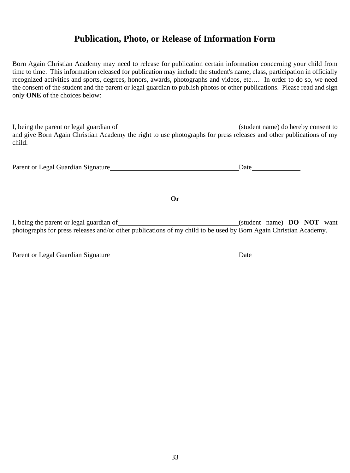## **Publication, Photo, or Release of Information Form**

Born Again Christian Academy may need to release for publication certain information concerning your child from time to time. This information released for publication may include the student's name, class, participation in officially recognized activities and sports, degrees, honors, awards, photographs and videos, etc.… In order to do so, we need the consent of the student and the parent or legal guardian to publish photos or other publications. Please read and sign only **ONE** of the choices below:

I, being the parent or legal guardian of (student name) do hereby consent to and give Born Again Christian Academy the right to use photographs for press releases and other publications of my child.

| Parent or Legal Guardian Signature | Date |
|------------------------------------|------|
|------------------------------------|------|

**Or**

I, being the parent or legal guardian of (student name) **DO NOT** want photographs for press releases and/or other publications of my child to be used by Born Again Christian Academy.

| Parent or Legal Guardian Signature | Date |
|------------------------------------|------|
|------------------------------------|------|